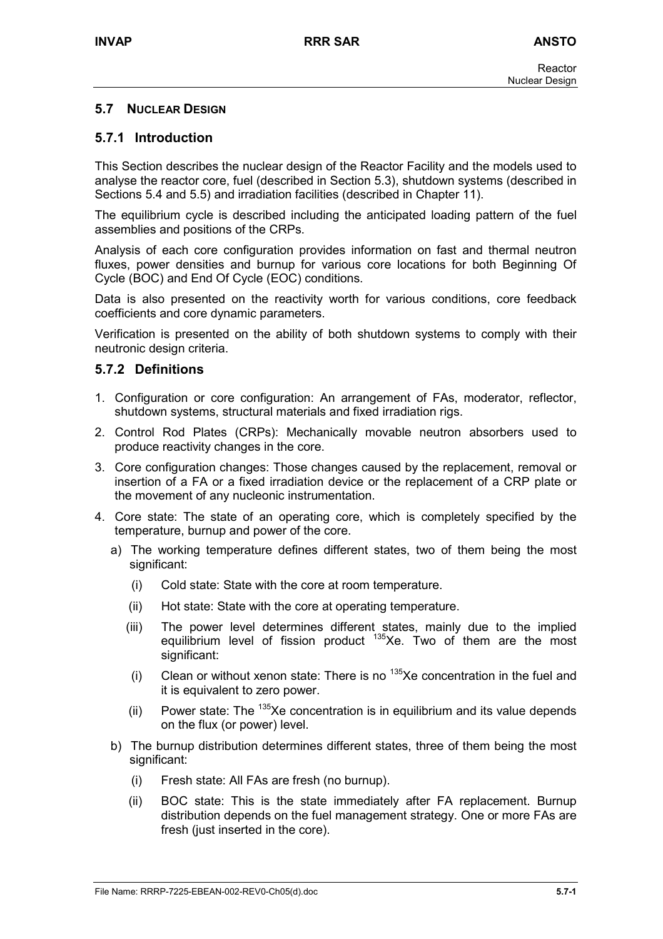### **5.7 NUCLEAR DESIGN**

### **5.7.1 Introduction**

This Section describes the nuclear design of the Reactor Facility and the models used to analyse the reactor core, fuel (described in Section 5.3), shutdown systems (described in Sections 5.4 and 5.5) and irradiation facilities (described in Chapter 11).

The equilibrium cycle is described including the anticipated loading pattern of the fuel assemblies and positions of the CRPs.

Analysis of each core configuration provides information on fast and thermal neutron fluxes, power densities and burnup for various core locations for both Beginning Of Cycle (BOC) and End Of Cycle (EOC) conditions.

Data is also presented on the reactivity worth for various conditions, core feedback coefficients and core dynamic parameters.

Verification is presented on the ability of both shutdown systems to comply with their neutronic design criteria.

### **5.7.2 Definitions**

- 1. Configuration or core configuration: An arrangement of FAs, moderator, reflector, shutdown systems, structural materials and fixed irradiation rigs.
- 2. Control Rod Plates (CRPs): Mechanically movable neutron absorbers used to produce reactivity changes in the core.
- 3. Core configuration changes: Those changes caused by the replacement, removal or insertion of a FA or a fixed irradiation device or the replacement of a CRP plate or the movement of any nucleonic instrumentation.
- 4. Core state: The state of an operating core, which is completely specified by the temperature, burnup and power of the core.
	- a) The working temperature defines different states, two of them being the most significant:
		- (i) Cold state: State with the core at room temperature.
		- (ii) Hot state: State with the core at operating temperature.
		- (iii) The power level determines different states, mainly due to the implied equilibrium level of fission product  $135Xe$ . Two of them are the most significant:
		- (i) Clean or without xenon state: There is no  $135Xe$  concentration in the fuel and it is equivalent to zero power.
		- (ii) Power state: The  $135Xe$  concentration is in equilibrium and its value depends on the flux (or power) level.
	- b) The burnup distribution determines different states, three of them being the most significant:
		- (i) Fresh state: All FAs are fresh (no burnup).
		- (ii) BOC state: This is the state immediately after FA replacement. Burnup distribution depends on the fuel management strategy. One or more FAs are fresh (just inserted in the core).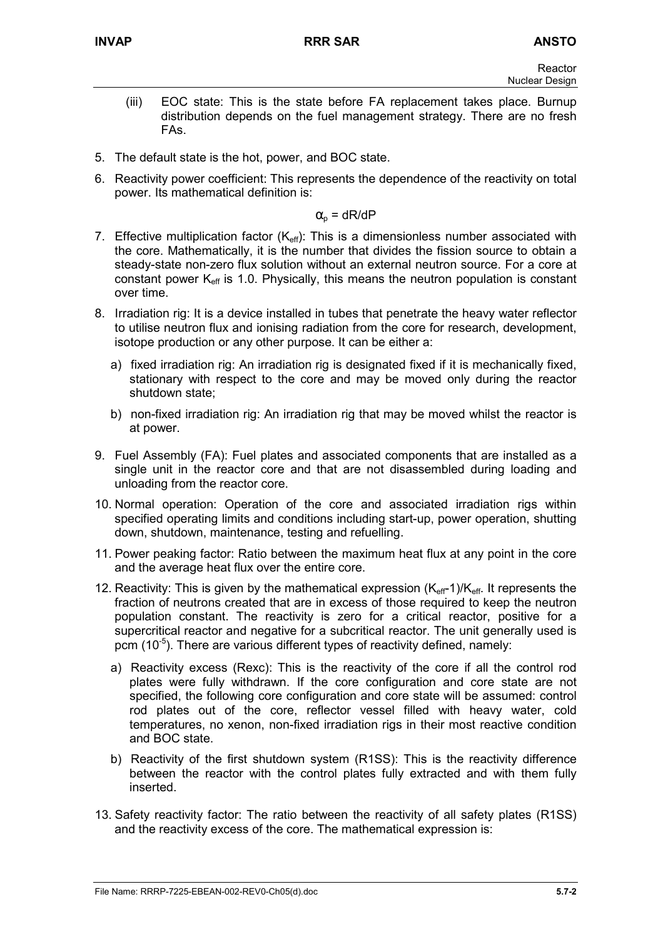- (iii) EOC state: This is the state before FA replacement takes place. Burnup distribution depends on the fuel management strategy. There are no fresh FAs.
- 5. The default state is the hot, power, and BOC state.
- 6. Reactivity power coefficient: This represents the dependence of the reactivity on total power. Its mathematical definition is:

 $\alpha_{\rm o}$  = dR/dP

- 7. Effective multiplication factor  $(K_{\text{eff}})$ : This is a dimensionless number associated with the core. Mathematically, it is the number that divides the fission source to obtain a steady-state non-zero flux solution without an external neutron source. For a core at constant power  $K_{\text{eff}}$  is 1.0. Physically, this means the neutron population is constant over time.
- 8. Irradiation rig: It is a device installed in tubes that penetrate the heavy water reflector to utilise neutron flux and ionising radiation from the core for research, development, isotope production or any other purpose. It can be either a:
	- a) fixed irradiation rig: An irradiation rig is designated fixed if it is mechanically fixed, stationary with respect to the core and may be moved only during the reactor shutdown state;
	- b) non-fixed irradiation rig: An irradiation rig that may be moved whilst the reactor is at power.
- 9. Fuel Assembly (FA): Fuel plates and associated components that are installed as a single unit in the reactor core and that are not disassembled during loading and unloading from the reactor core.
- 10. Normal operation: Operation of the core and associated irradiation rigs within specified operating limits and conditions including start-up, power operation, shutting down, shutdown, maintenance, testing and refuelling.
- 11. Power peaking factor: Ratio between the maximum heat flux at any point in the core and the average heat flux over the entire core.
- 12. Reactivity: This is given by the mathematical expression  $(K_{\text{eff}}-1)/K_{\text{eff}}$ . It represents the fraction of neutrons created that are in excess of those required to keep the neutron population constant. The reactivity is zero for a critical reactor, positive for a supercritical reactor and negative for a subcritical reactor. The unit generally used is pcm  $(10^{-5})$ . There are various different types of reactivity defined, namely:
	- a) Reactivity excess (Rexc): This is the reactivity of the core if all the control rod plates were fully withdrawn. If the core configuration and core state are not specified, the following core configuration and core state will be assumed: control rod plates out of the core, reflector vessel filled with heavy water, cold temperatures, no xenon, non-fixed irradiation rigs in their most reactive condition and BOC state.
	- b) Reactivity of the first shutdown system (R1SS): This is the reactivity difference between the reactor with the control plates fully extracted and with them fully inserted.
- 13. Safety reactivity factor: The ratio between the reactivity of all safety plates (R1SS) and the reactivity excess of the core. The mathematical expression is: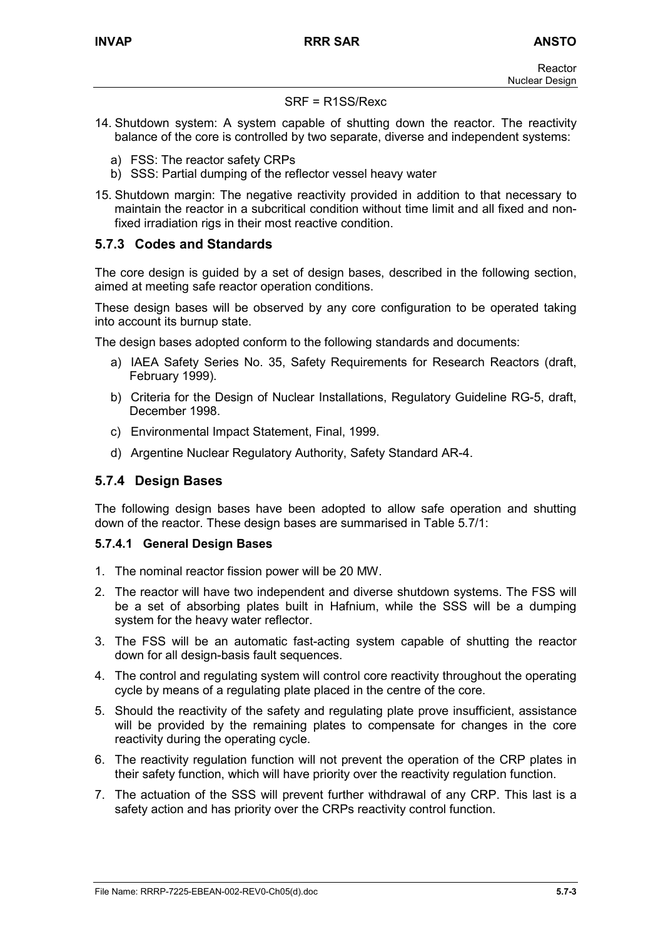#### SRF = R1SS/Rexc

- 14. Shutdown system: A system capable of shutting down the reactor. The reactivity balance of the core is controlled by two separate, diverse and independent systems:
	- a) FSS: The reactor safety CRPs
	- b) SSS: Partial dumping of the reflector vessel heavy water
- 15. Shutdown margin: The negative reactivity provided in addition to that necessary to maintain the reactor in a subcritical condition without time limit and all fixed and nonfixed irradiation rigs in their most reactive condition.

### **5.7.3 Codes and Standards**

The core design is guided by a set of design bases, described in the following section, aimed at meeting safe reactor operation conditions.

These design bases will be observed by any core configuration to be operated taking into account its burnup state.

The design bases adopted conform to the following standards and documents:

- a) IAEA Safety Series No. 35, Safety Requirements for Research Reactors (draft, February 1999).
- b) Criteria for the Design of Nuclear Installations, Regulatory Guideline RG-5, draft, December 1998.
- c) Environmental Impact Statement, Final, 1999.
- d) Argentine Nuclear Regulatory Authority, Safety Standard AR-4.

### **5.7.4 Design Bases**

The following design bases have been adopted to allow safe operation and shutting down of the reactor. These design bases are summarised in Table 5.7/1:

#### **5.7.4.1 General Design Bases**

- 1. The nominal reactor fission power will be 20 MW.
- 2. The reactor will have two independent and diverse shutdown systems. The FSS will be a set of absorbing plates built in Hafnium, while the SSS will be a dumping system for the heavy water reflector.
- 3. The FSS will be an automatic fast-acting system capable of shutting the reactor down for all design-basis fault sequences.
- 4. The control and regulating system will control core reactivity throughout the operating cycle by means of a regulating plate placed in the centre of the core.
- 5. Should the reactivity of the safety and regulating plate prove insufficient, assistance will be provided by the remaining plates to compensate for changes in the core reactivity during the operating cycle.
- 6. The reactivity regulation function will not prevent the operation of the CRP plates in their safety function, which will have priority over the reactivity regulation function.
- 7. The actuation of the SSS will prevent further withdrawal of any CRP. This last is a safety action and has priority over the CRPs reactivity control function.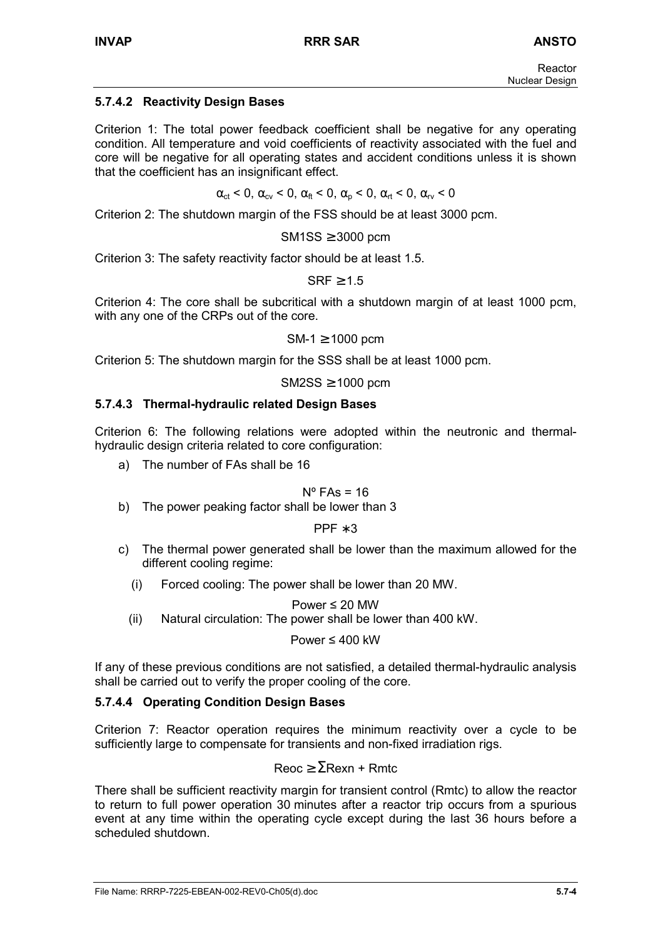## **5.7.4.2 Reactivity Design Bases**

Criterion 1: The total power feedback coefficient shall be negative for any operating condition. All temperature and void coefficients of reactivity associated with the fuel and core will be negative for all operating states and accident conditions unless it is shown that the coefficient has an insignificant effect.

 $\alpha_{\rm ct}$  < 0,  $\alpha_{\rm cv}$  < 0,  $\alpha_{\rm ft}$  < 0,  $\alpha_{\rm o}$  < 0,  $\alpha_{\rm rt}$  < 0,  $\alpha_{\rm rv}$  < 0

Criterion 2: The shutdown margin of the FSS should be at least 3000 pcm.

 $SM1SS \geq 3000$  pcm

Criterion 3: The safety reactivity factor should be at least 1.5.

 $SRF \geq 1.5$ 

Criterion 4: The core shall be subcritical with a shutdown margin of at least 1000 pcm, with any one of the CRPs out of the core.

 $SM-1 > 1000$  pcm

Criterion 5: The shutdown margin for the SSS shall be at least 1000 pcm.

 $SM2SS \geq 1000$  pcm

### **5.7.4.3 Thermal-hydraulic related Design Bases**

Criterion 6: The following relations were adopted within the neutronic and thermalhydraulic design criteria related to core configuration:

a) The number of FAs shall be 16

 $N^{\circ}$  FAs = 16

b) The power peaking factor shall be lower than 3

PPF ∗ 3

- c) The thermal power generated shall be lower than the maximum allowed for the different cooling regime:
	- (i) Forced cooling: The power shall be lower than 20 MW.

Power ≤ 20 MW

(ii) Natural circulation: The power shall be lower than 400 kW.

Power ≤ 400 kW

If any of these previous conditions are not satisfied, a detailed thermal-hydraulic analysis shall be carried out to verify the proper cooling of the core.

### **5.7.4.4 Operating Condition Design Bases**

Criterion 7: Reactor operation requires the minimum reactivity over a cycle to be sufficiently large to compensate for transients and non-fixed irradiation rigs.

 $Reoc \geq \Sigma$ Rexn + Rmtc

There shall be sufficient reactivity margin for transient control (Rmtc) to allow the reactor to return to full power operation 30 minutes after a reactor trip occurs from a spurious event at any time within the operating cycle except during the last 36 hours before a scheduled shutdown.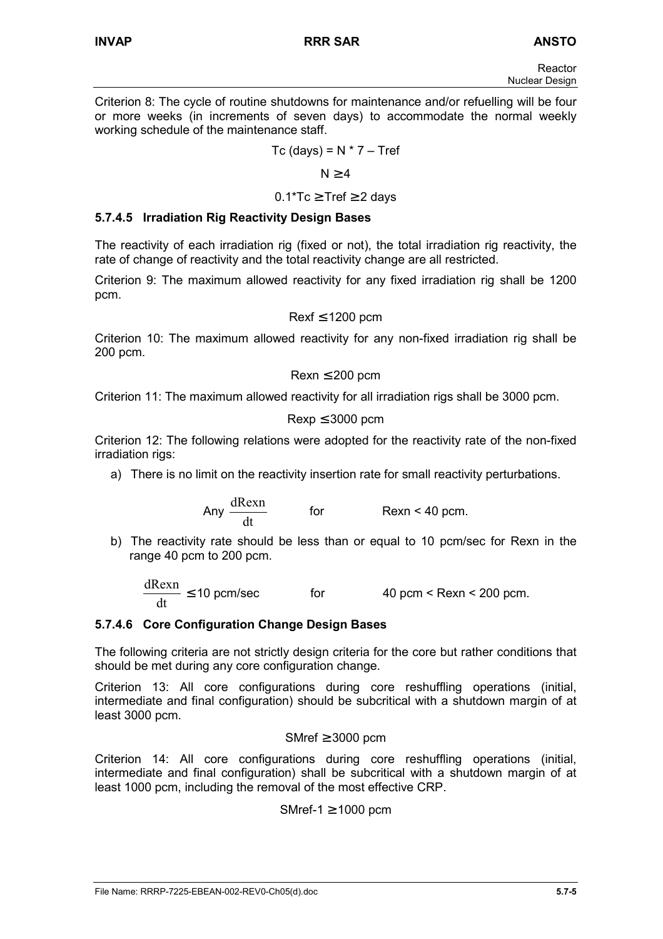Criterion 8: The cycle of routine shutdowns for maintenance and/or refuelling will be four or more weeks (in increments of seven days) to accommodate the normal weekly working schedule of the maintenance staff.

$$
Tc (days) = N * 7 - Tref
$$

 $N > 4$ 

 $0.1$ <sup>\*</sup>Tc  $\geq$  Tref  $\geq$  2 davs

### **5.7.4.5 Irradiation Rig Reactivity Design Bases**

The reactivity of each irradiation rig (fixed or not), the total irradiation rig reactivity, the rate of change of reactivity and the total reactivity change are all restricted.

Criterion 9: The maximum allowed reactivity for any fixed irradiation rig shall be 1200 pcm.

$$
Rexf\leq 1200\;pcm
$$

Criterion 10: The maximum allowed reactivity for any non-fixed irradiation rig shall be 200 pcm.

$$
Rexn \leq 200 \text{ pcm}
$$

Criterion 11: The maximum allowed reactivity for all irradiation rigs shall be 3000 pcm.

$$
Rexp \leq 3000 \text{ pcm}
$$

Criterion 12: The following relations were adopted for the reactivity rate of the non-fixed irradiation rigs:

a) There is no limit on the reactivity insertion rate for small reactivity perturbations.

Any 
$$
\frac{dRexn}{dt}
$$
 for  $Rexn < 40$  pcm.

b) The reactivity rate should be less than or equal to 10 pcm/sec for Rexn in the range 40 pcm to 200 pcm.

dt  $\frac{dRexn}{dt} \le 10$  pcm/sec for  $40$  pcm < Rexn < 200 pcm.

#### **5.7.4.6 Core Configuration Change Design Bases**

The following criteria are not strictly design criteria for the core but rather conditions that should be met during any core configuration change.

Criterion 13: All core configurations during core reshuffling operations (initial, intermediate and final configuration) should be subcritical with a shutdown margin of at least 3000 pcm.

SMref  $\geq$  3000 pcm

Criterion 14: All core configurations during core reshuffling operations (initial, intermediate and final configuration) shall be subcritical with a shutdown margin of at least 1000 pcm, including the removal of the most effective CRP.

SMref-1  $\geq$  1000 pcm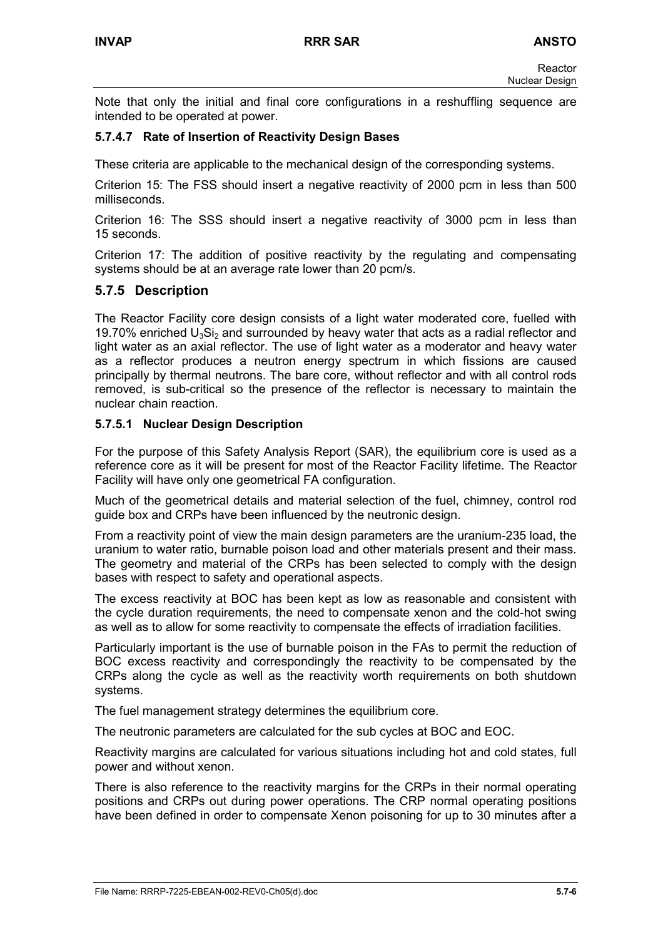Note that only the initial and final core configurations in a reshuffling sequence are intended to be operated at power.

### **5.7.4.7 Rate of Insertion of Reactivity Design Bases**

These criteria are applicable to the mechanical design of the corresponding systems.

Criterion 15: The FSS should insert a negative reactivity of 2000 pcm in less than 500 milliseconds.

Criterion 16: The SSS should insert a negative reactivity of 3000 pcm in less than 15 seconds.

Criterion 17: The addition of positive reactivity by the regulating and compensating systems should be at an average rate lower than 20 pcm/s.

### **5.7.5 Description**

The Reactor Facility core design consists of a light water moderated core, fuelled with 19.70% enriched  $U_3Si_2$  and surrounded by heavy water that acts as a radial reflector and light water as an axial reflector. The use of light water as a moderator and heavy water as a reflector produces a neutron energy spectrum in which fissions are caused principally by thermal neutrons. The bare core, without reflector and with all control rods removed, is sub-critical so the presence of the reflector is necessary to maintain the nuclear chain reaction.

#### **5.7.5.1 Nuclear Design Description**

For the purpose of this Safety Analysis Report (SAR), the equilibrium core is used as a reference core as it will be present for most of the Reactor Facility lifetime. The Reactor Facility will have only one geometrical FA configuration.

Much of the geometrical details and material selection of the fuel, chimney, control rod guide box and CRPs have been influenced by the neutronic design.

From a reactivity point of view the main design parameters are the uranium-235 load, the uranium to water ratio, burnable poison load and other materials present and their mass. The geometry and material of the CRPs has been selected to comply with the design bases with respect to safety and operational aspects.

The excess reactivity at BOC has been kept as low as reasonable and consistent with the cycle duration requirements, the need to compensate xenon and the cold-hot swing as well as to allow for some reactivity to compensate the effects of irradiation facilities.

Particularly important is the use of burnable poison in the FAs to permit the reduction of BOC excess reactivity and correspondingly the reactivity to be compensated by the CRPs along the cycle as well as the reactivity worth requirements on both shutdown systems.

The fuel management strategy determines the equilibrium core.

The neutronic parameters are calculated for the sub cycles at BOC and EOC.

Reactivity margins are calculated for various situations including hot and cold states, full power and without xenon.

There is also reference to the reactivity margins for the CRPs in their normal operating positions and CRPs out during power operations. The CRP normal operating positions have been defined in order to compensate Xenon poisoning for up to 30 minutes after a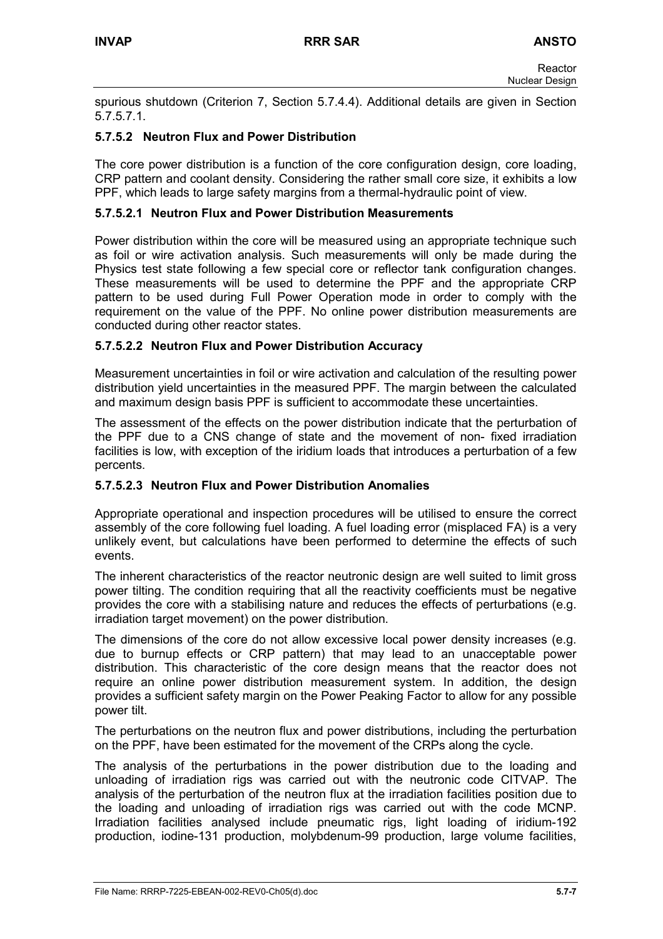spurious shutdown (Criterion 7, Section 5.7.4.4). Additional details are given in Section 5.7.5.7.1.

### **5.7.5.2 Neutron Flux and Power Distribution**

The core power distribution is a function of the core configuration design, core loading, CRP pattern and coolant density. Considering the rather small core size, it exhibits a low PPF, which leads to large safety margins from a thermal-hydraulic point of view.

#### **5.7.5.2.1 Neutron Flux and Power Distribution Measurements**

Power distribution within the core will be measured using an appropriate technique such as foil or wire activation analysis. Such measurements will only be made during the Physics test state following a few special core or reflector tank configuration changes. These measurements will be used to determine the PPF and the appropriate CRP pattern to be used during Full Power Operation mode in order to comply with the requirement on the value of the PPF. No online power distribution measurements are conducted during other reactor states.

### **5.7.5.2.2 Neutron Flux and Power Distribution Accuracy**

Measurement uncertainties in foil or wire activation and calculation of the resulting power distribution yield uncertainties in the measured PPF. The margin between the calculated and maximum design basis PPF is sufficient to accommodate these uncertainties.

The assessment of the effects on the power distribution indicate that the perturbation of the PPF due to a CNS change of state and the movement of non- fixed irradiation facilities is low, with exception of the iridium loads that introduces a perturbation of a few percents.

#### **5.7.5.2.3 Neutron Flux and Power Distribution Anomalies**

Appropriate operational and inspection procedures will be utilised to ensure the correct assembly of the core following fuel loading. A fuel loading error (misplaced FA) is a very unlikely event, but calculations have been performed to determine the effects of such events.

The inherent characteristics of the reactor neutronic design are well suited to limit gross power tilting. The condition requiring that all the reactivity coefficients must be negative provides the core with a stabilising nature and reduces the effects of perturbations (e.g. irradiation target movement) on the power distribution.

The dimensions of the core do not allow excessive local power density increases (e.g. due to burnup effects or CRP pattern) that may lead to an unacceptable power distribution. This characteristic of the core design means that the reactor does not require an online power distribution measurement system. In addition, the design provides a sufficient safety margin on the Power Peaking Factor to allow for any possible power tilt.

The perturbations on the neutron flux and power distributions, including the perturbation on the PPF, have been estimated for the movement of the CRPs along the cycle.

The analysis of the perturbations in the power distribution due to the loading and unloading of irradiation rigs was carried out with the neutronic code CITVAP. The analysis of the perturbation of the neutron flux at the irradiation facilities position due to the loading and unloading of irradiation rigs was carried out with the code MCNP. Irradiation facilities analysed include pneumatic rigs, light loading of iridium-192 production, iodine-131 production, molybdenum-99 production, large volume facilities,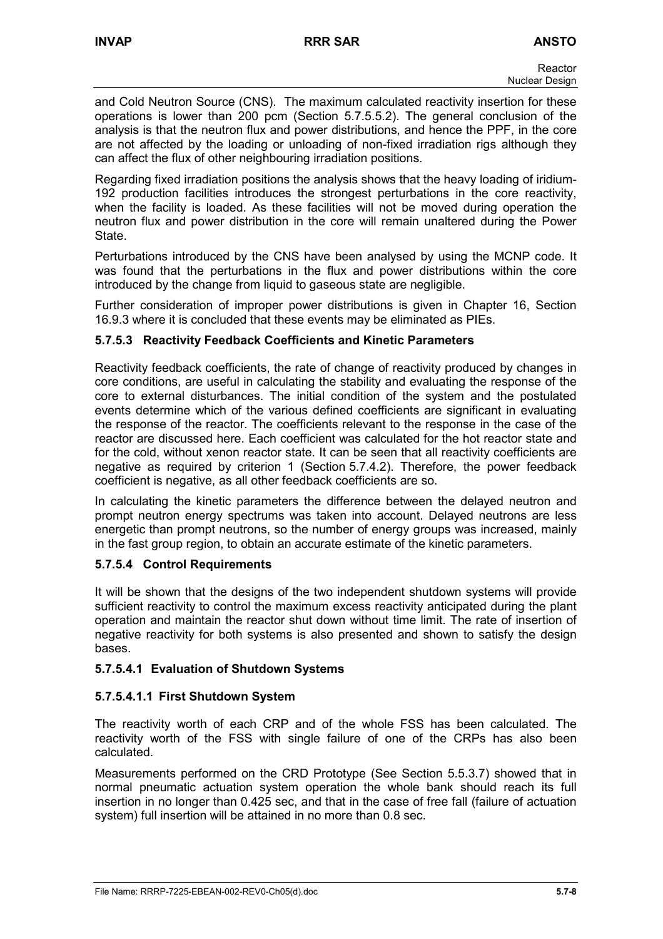and Cold Neutron Source (CNS). The maximum calculated reactivity insertion for these operations is lower than 200 pcm (Section 5.7.5.5.2). The general conclusion of the analysis is that the neutron flux and power distributions, and hence the PPF, in the core are not affected by the loading or unloading of non-fixed irradiation rigs although they can affect the flux of other neighbouring irradiation positions.

Regarding fixed irradiation positions the analysis shows that the heavy loading of iridium-192 production facilities introduces the strongest perturbations in the core reactivity, when the facility is loaded. As these facilities will not be moved during operation the neutron flux and power distribution in the core will remain unaltered during the Power State.

Perturbations introduced by the CNS have been analysed by using the MCNP code. It was found that the perturbations in the flux and power distributions within the core introduced by the change from liquid to gaseous state are negligible.

Further consideration of improper power distributions is given in Chapter 16, Section 16.9.3 where it is concluded that these events may be eliminated as PIEs.

### **5.7.5.3 Reactivity Feedback Coefficients and Kinetic Parameters**

Reactivity feedback coefficients, the rate of change of reactivity produced by changes in core conditions, are useful in calculating the stability and evaluating the response of the core to external disturbances. The initial condition of the system and the postulated events determine which of the various defined coefficients are significant in evaluating the response of the reactor. The coefficients relevant to the response in the case of the reactor are discussed here. Each coefficient was calculated for the hot reactor state and for the cold, without xenon reactor state. It can be seen that all reactivity coefficients are negative as required by criterion 1 (Section 5.7.4.2). Therefore, the power feedback coefficient is negative, as all other feedback coefficients are so.

In calculating the kinetic parameters the difference between the delayed neutron and prompt neutron energy spectrums was taken into account. Delayed neutrons are less energetic than prompt neutrons, so the number of energy groups was increased, mainly in the fast group region, to obtain an accurate estimate of the kinetic parameters.

### **5.7.5.4 Control Requirements**

It will be shown that the designs of the two independent shutdown systems will provide sufficient reactivity to control the maximum excess reactivity anticipated during the plant operation and maintain the reactor shut down without time limit. The rate of insertion of negative reactivity for both systems is also presented and shown to satisfy the design bases.

### **5.7.5.4.1 Evaluation of Shutdown Systems**

### **5.7.5.4.1.1 First Shutdown System**

The reactivity worth of each CRP and of the whole FSS has been calculated. The reactivity worth of the FSS with single failure of one of the CRPs has also been calculated.

Measurements performed on the CRD Prototype (See Section 5.5.3.7) showed that in normal pneumatic actuation system operation the whole bank should reach its full insertion in no longer than 0.425 sec, and that in the case of free fall (failure of actuation system) full insertion will be attained in no more than 0.8 sec.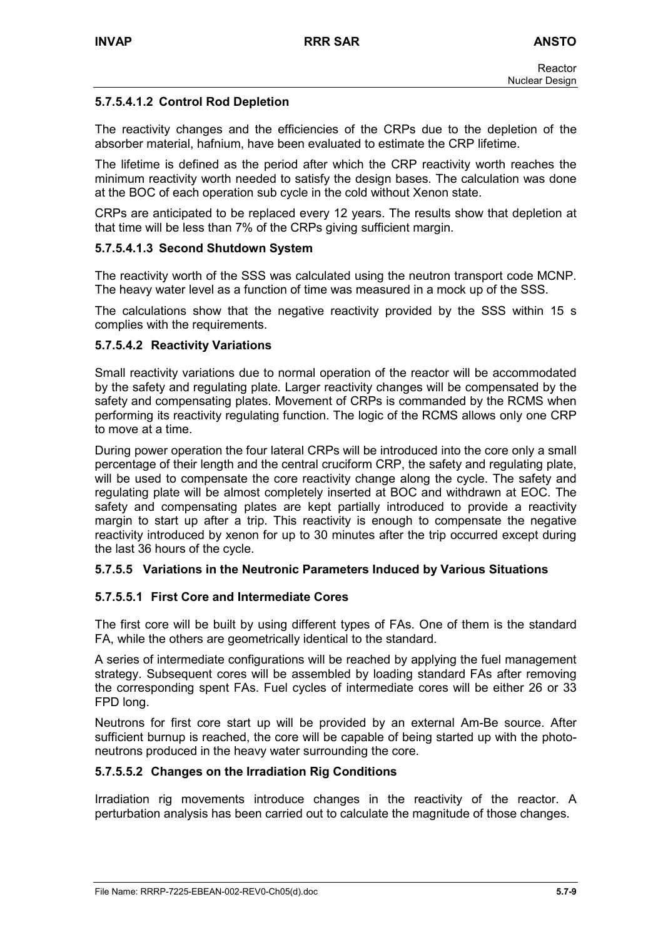### **5.7.5.4.1.2 Control Rod Depletion**

The reactivity changes and the efficiencies of the CRPs due to the depletion of the absorber material, hafnium, have been evaluated to estimate the CRP lifetime.

The lifetime is defined as the period after which the CRP reactivity worth reaches the minimum reactivity worth needed to satisfy the design bases. The calculation was done at the BOC of each operation sub cycle in the cold without Xenon state.

CRPs are anticipated to be replaced every 12 years. The results show that depletion at that time will be less than 7% of the CRPs giving sufficient margin.

#### **5.7.5.4.1.3 Second Shutdown System**

The reactivity worth of the SSS was calculated using the neutron transport code MCNP. The heavy water level as a function of time was measured in a mock up of the SSS.

The calculations show that the negative reactivity provided by the SSS within 15 s complies with the requirements.

#### **5.7.5.4.2 Reactivity Variations**

Small reactivity variations due to normal operation of the reactor will be accommodated by the safety and regulating plate. Larger reactivity changes will be compensated by the safety and compensating plates. Movement of CRPs is commanded by the RCMS when performing its reactivity regulating function. The logic of the RCMS allows only one CRP to move at a time.

During power operation the four lateral CRPs will be introduced into the core only a small percentage of their length and the central cruciform CRP, the safety and regulating plate, will be used to compensate the core reactivity change along the cycle. The safety and regulating plate will be almost completely inserted at BOC and withdrawn at EOC. The safety and compensating plates are kept partially introduced to provide a reactivity margin to start up after a trip. This reactivity is enough to compensate the negative reactivity introduced by xenon for up to 30 minutes after the trip occurred except during the last 36 hours of the cycle.

#### **5.7.5.5 Variations in the Neutronic Parameters Induced by Various Situations**

#### **5.7.5.5.1 First Core and Intermediate Cores**

The first core will be built by using different types of FAs. One of them is the standard FA, while the others are geometrically identical to the standard.

A series of intermediate configurations will be reached by applying the fuel management strategy. Subsequent cores will be assembled by loading standard FAs after removing the corresponding spent FAs. Fuel cycles of intermediate cores will be either 26 or 33 FPD long.

Neutrons for first core start up will be provided by an external Am-Be source. After sufficient burnup is reached, the core will be capable of being started up with the photoneutrons produced in the heavy water surrounding the core.

#### **5.7.5.5.2 Changes on the Irradiation Rig Conditions**

Irradiation rig movements introduce changes in the reactivity of the reactor. A perturbation analysis has been carried out to calculate the magnitude of those changes.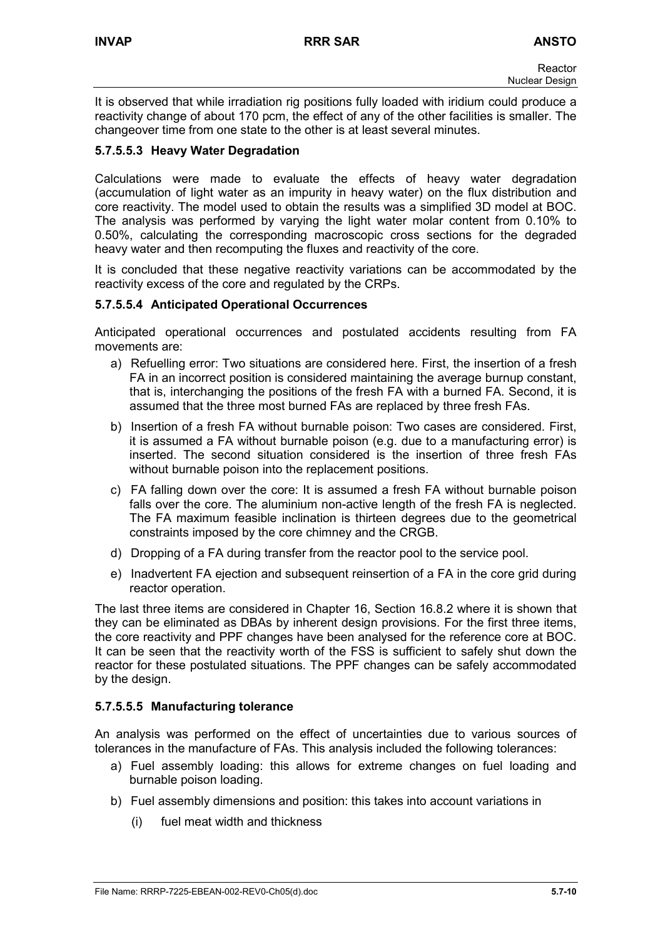It is observed that while irradiation rig positions fully loaded with iridium could produce a reactivity change of about 170 pcm, the effect of any of the other facilities is smaller. The changeover time from one state to the other is at least several minutes.

### **5.7.5.5.3 Heavy Water Degradation**

Calculations were made to evaluate the effects of heavy water degradation (accumulation of light water as an impurity in heavy water) on the flux distribution and core reactivity. The model used to obtain the results was a simplified 3D model at BOC. The analysis was performed by varying the light water molar content from 0.10% to 0.50%, calculating the corresponding macroscopic cross sections for the degraded heavy water and then recomputing the fluxes and reactivity of the core.

It is concluded that these negative reactivity variations can be accommodated by the reactivity excess of the core and regulated by the CRPs.

#### **5.7.5.5.4 Anticipated Operational Occurrences**

Anticipated operational occurrences and postulated accidents resulting from FA movements are:

- a) Refuelling error: Two situations are considered here. First, the insertion of a fresh FA in an incorrect position is considered maintaining the average burnup constant, that is, interchanging the positions of the fresh FA with a burned FA. Second, it is assumed that the three most burned FAs are replaced by three fresh FAs.
- b) Insertion of a fresh FA without burnable poison: Two cases are considered. First, it is assumed a FA without burnable poison (e.g. due to a manufacturing error) is inserted. The second situation considered is the insertion of three fresh FAs without burnable poison into the replacement positions.
- c) FA falling down over the core: It is assumed a fresh FA without burnable poison falls over the core. The aluminium non-active length of the fresh FA is neglected. The FA maximum feasible inclination is thirteen degrees due to the geometrical constraints imposed by the core chimney and the CRGB.
- d) Dropping of a FA during transfer from the reactor pool to the service pool.
- e) Inadvertent FA ejection and subsequent reinsertion of a FA in the core grid during reactor operation.

The last three items are considered in Chapter 16, Section 16.8.2 where it is shown that they can be eliminated as DBAs by inherent design provisions. For the first three items, the core reactivity and PPF changes have been analysed for the reference core at BOC. It can be seen that the reactivity worth of the FSS is sufficient to safely shut down the reactor for these postulated situations. The PPF changes can be safely accommodated by the design.

#### **5.7.5.5.5 Manufacturing tolerance**

An analysis was performed on the effect of uncertainties due to various sources of tolerances in the manufacture of FAs. This analysis included the following tolerances:

- a) Fuel assembly loading: this allows for extreme changes on fuel loading and burnable poison loading.
- b) Fuel assembly dimensions and position: this takes into account variations in
	- (i) fuel meat width and thickness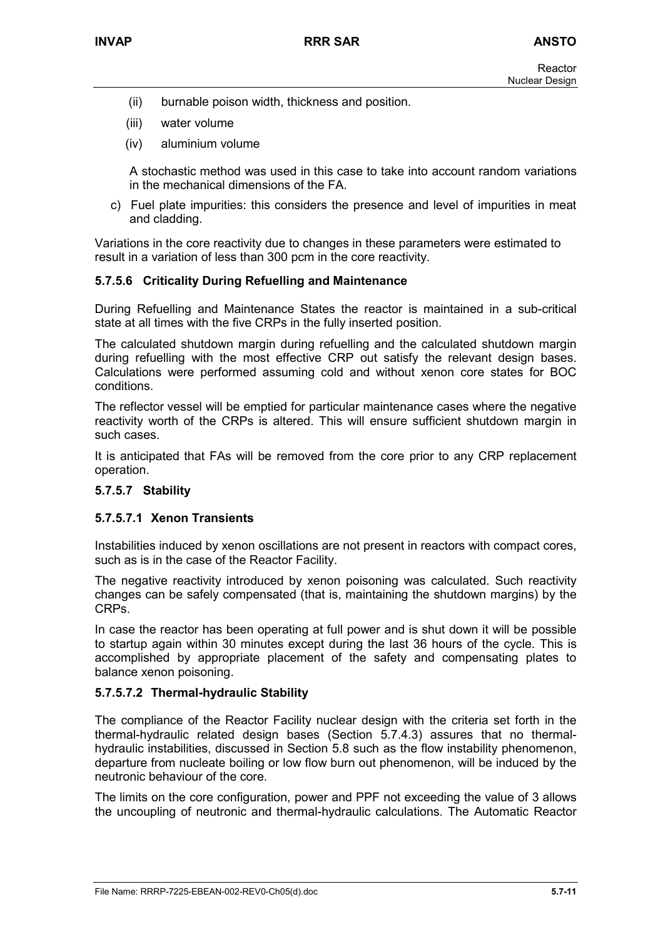- (ii) burnable poison width, thickness and position.
- (iii) water volume
- (iv) aluminium volume

A stochastic method was used in this case to take into account random variations in the mechanical dimensions of the FA.

c) Fuel plate impurities: this considers the presence and level of impurities in meat and cladding.

Variations in the core reactivity due to changes in these parameters were estimated to result in a variation of less than 300 pcm in the core reactivity.

### **5.7.5.6 Criticality During Refuelling and Maintenance**

During Refuelling and Maintenance States the reactor is maintained in a sub-critical state at all times with the five CRPs in the fully inserted position.

The calculated shutdown margin during refuelling and the calculated shutdown margin during refuelling with the most effective CRP out satisfy the relevant design bases. Calculations were performed assuming cold and without xenon core states for BOC conditions.

The reflector vessel will be emptied for particular maintenance cases where the negative reactivity worth of the CRPs is altered. This will ensure sufficient shutdown margin in such cases.

It is anticipated that FAs will be removed from the core prior to any CRP replacement operation.

#### **5.7.5.7 Stability**

#### **5.7.5.7.1 Xenon Transients**

Instabilities induced by xenon oscillations are not present in reactors with compact cores, such as is in the case of the Reactor Facility.

The negative reactivity introduced by xenon poisoning was calculated. Such reactivity changes can be safely compensated (that is, maintaining the shutdown margins) by the CRPs.

In case the reactor has been operating at full power and is shut down it will be possible to startup again within 30 minutes except during the last 36 hours of the cycle. This is accomplished by appropriate placement of the safety and compensating plates to balance xenon poisoning.

#### **5.7.5.7.2 Thermal-hydraulic Stability**

The compliance of the Reactor Facility nuclear design with the criteria set forth in the thermal-hydraulic related design bases (Section 5.7.4.3) assures that no thermalhydraulic instabilities, discussed in Section 5.8 such as the flow instability phenomenon, departure from nucleate boiling or low flow burn out phenomenon, will be induced by the neutronic behaviour of the core.

The limits on the core configuration, power and PPF not exceeding the value of 3 allows the uncoupling of neutronic and thermal-hydraulic calculations. The Automatic Reactor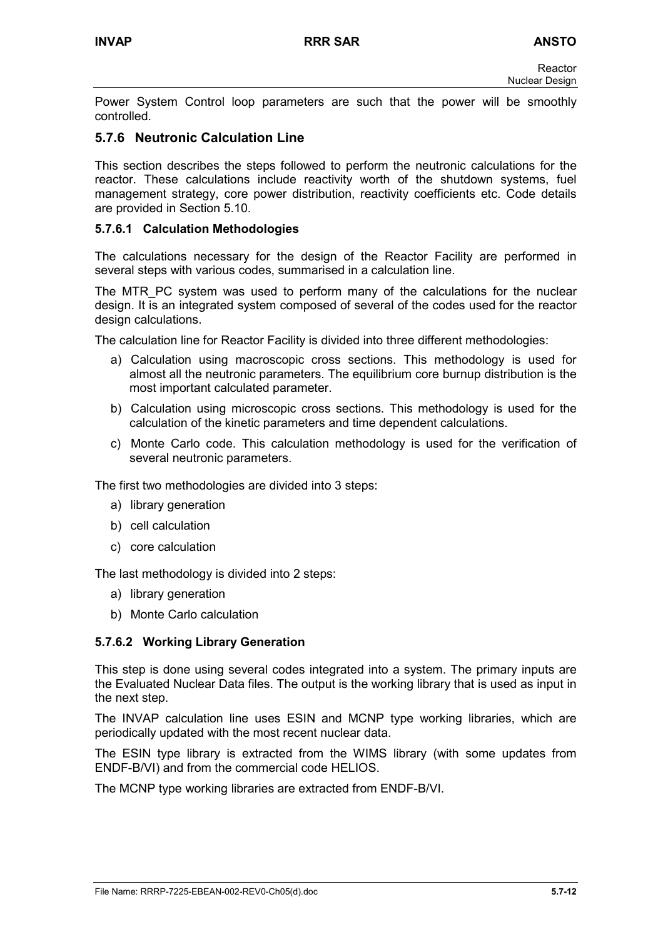Power System Control loop parameters are such that the power will be smoothly controlled.

### **5.7.6 Neutronic Calculation Line**

This section describes the steps followed to perform the neutronic calculations for the reactor. These calculations include reactivity worth of the shutdown systems, fuel management strategy, core power distribution, reactivity coefficients etc. Code details are provided in Section 5.10.

### **5.7.6.1 Calculation Methodologies**

The calculations necessary for the design of the Reactor Facility are performed in several steps with various codes, summarised in a calculation line.

The MTR\_PC system was used to perform many of the calculations for the nuclear design. It is an integrated system composed of several of the codes used for the reactor design calculations.

The calculation line for Reactor Facility is divided into three different methodologies:

- a) Calculation using macroscopic cross sections. This methodology is used for almost all the neutronic parameters. The equilibrium core burnup distribution is the most important calculated parameter.
- b) Calculation using microscopic cross sections. This methodology is used for the calculation of the kinetic parameters and time dependent calculations.
- c) Monte Carlo code. This calculation methodology is used for the verification of several neutronic parameters.

The first two methodologies are divided into 3 steps:

- a) library generation
- b) cell calculation
- c) core calculation

The last methodology is divided into 2 steps:

- a) library generation
- b) Monte Carlo calculation

#### **5.7.6.2 Working Library Generation**

This step is done using several codes integrated into a system. The primary inputs are the Evaluated Nuclear Data files. The output is the working library that is used as input in the next step.

The INVAP calculation line uses ESIN and MCNP type working libraries, which are periodically updated with the most recent nuclear data.

The ESIN type library is extracted from the WIMS library (with some updates from ENDF-B/VI) and from the commercial code HELIOS.

The MCNP type working libraries are extracted from ENDF-B/VI.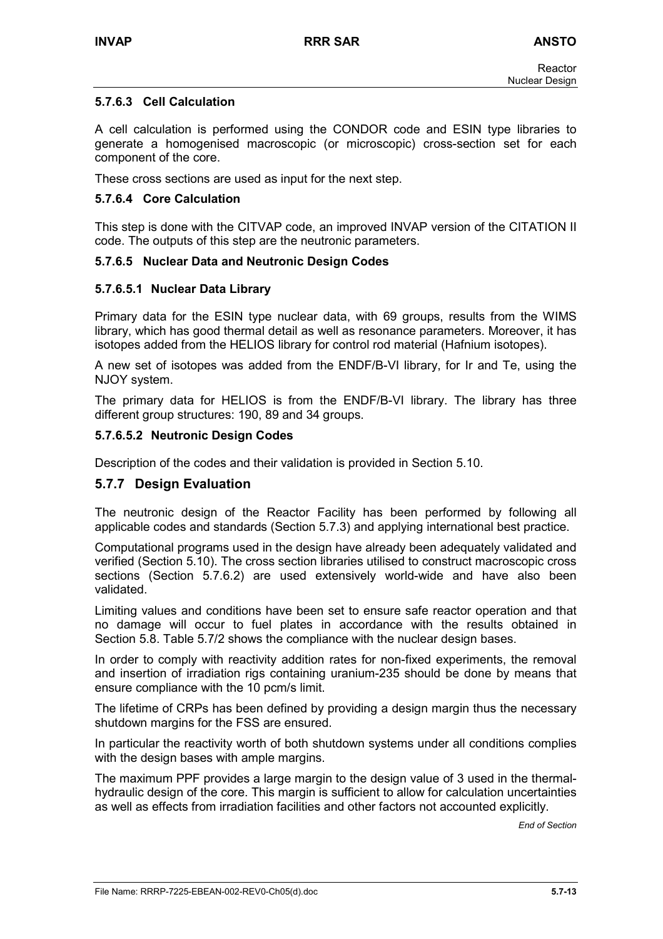### **5.7.6.3 Cell Calculation**

A cell calculation is performed using the CONDOR code and ESIN type libraries to generate a homogenised macroscopic (or microscopic) cross-section set for each component of the core.

These cross sections are used as input for the next step.

#### **5.7.6.4 Core Calculation**

This step is done with the CITVAP code, an improved INVAP version of the CITATION II code. The outputs of this step are the neutronic parameters.

#### **5.7.6.5 Nuclear Data and Neutronic Design Codes**

#### **5.7.6.5.1 Nuclear Data Library**

Primary data for the ESIN type nuclear data, with 69 groups, results from the WIMS library, which has good thermal detail as well as resonance parameters. Moreover, it has isotopes added from the HELIOS library for control rod material (Hafnium isotopes).

A new set of isotopes was added from the ENDF/B-VI library, for Ir and Te, using the NJOY system.

The primary data for HELIOS is from the ENDF/B-VI library. The library has three different group structures: 190, 89 and 34 groups.

#### **5.7.6.5.2 Neutronic Design Codes**

Description of the codes and their validation is provided in Section 5.10.

#### **5.7.7 Design Evaluation**

The neutronic design of the Reactor Facility has been performed by following all applicable codes and standards (Section 5.7.3) and applying international best practice.

Computational programs used in the design have already been adequately validated and verified (Section 5.10). The cross section libraries utilised to construct macroscopic cross sections (Section 5.7.6.2) are used extensively world-wide and have also been validated.

Limiting values and conditions have been set to ensure safe reactor operation and that no damage will occur to fuel plates in accordance with the results obtained in Section 5.8. Table 5.7/2 shows the compliance with the nuclear design bases.

In order to comply with reactivity addition rates for non-fixed experiments, the removal and insertion of irradiation rigs containing uranium-235 should be done by means that ensure compliance with the 10 pcm/s limit.

The lifetime of CRPs has been defined by providing a design margin thus the necessary shutdown margins for the FSS are ensured.

In particular the reactivity worth of both shutdown systems under all conditions complies with the design bases with ample margins.

The maximum PPF provides a large margin to the design value of 3 used in the thermalhydraulic design of the core. This margin is sufficient to allow for calculation uncertainties as well as effects from irradiation facilities and other factors not accounted explicitly.

*End of Section*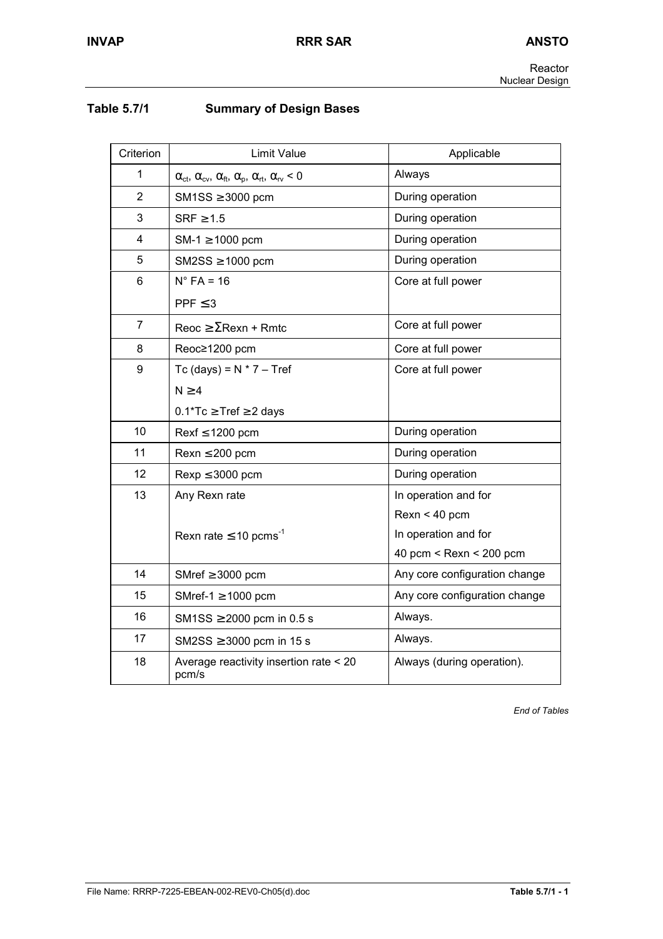| Table 5.7/1 | <b>Summary of Design Bases</b> |
|-------------|--------------------------------|
|-------------|--------------------------------|

| Criterion      | <b>Limit Value</b>                                                                                        | Applicable                        |
|----------------|-----------------------------------------------------------------------------------------------------------|-----------------------------------|
| 1              | $\alpha_{\rm ct}, \alpha_{\rm cv}, \alpha_{\rm ft}, \alpha_{\rm p}, \alpha_{\rm rt}, \alpha_{\rm rv} < 0$ | Always                            |
| $\overline{2}$ | $SM1SS \geq 3000$ pcm                                                                                     | During operation                  |
| 3              | $SRF \geq 1.5$                                                                                            | During operation                  |
| 4              | $SM-1 \ge 1000$ pcm                                                                                       | During operation                  |
| 5              | $SM2SS \geq 1000$ pcm                                                                                     | During operation                  |
| 6              | $N^{\circ}$ FA = 16                                                                                       | Core at full power                |
|                | PPF $\leq$ 3                                                                                              |                                   |
| $\overline{7}$ | $\text{Reoc} \geq \Sigma \text{Rexn} + \text{Rmtc}$                                                       | Core at full power                |
| 8              | Reoc≥1200 pcm                                                                                             | Core at full power                |
| 9              | Tc (days) = $N * 7 - Tref$                                                                                | Core at full power                |
|                | N > 4                                                                                                     |                                   |
|                | $0.1$ <sup>*</sup> Tc $\geq$ Tref $\geq$ 2 days                                                           |                                   |
| 10             | $Rest \leq 1200$ pcm                                                                                      | During operation                  |
| 11             | $Rexn \leq 200$ pcm                                                                                       | During operation                  |
| 12             | $Rexp \leq 3000$ pcm                                                                                      | During operation                  |
| 13             | Any Rexn rate                                                                                             | In operation and for              |
|                |                                                                                                           | $Rexn < 40$ pcm                   |
|                | Rexn rate $\leq$ 10 pcms <sup>-1</sup>                                                                    | In operation and for              |
|                |                                                                                                           | 40 pcm $\leq$ Rexn $\leq$ 200 pcm |
| 14             | SMref $\geq$ 3000 pcm                                                                                     | Any core configuration change     |
| 15             | SMref-1 $\geq$ 1000 pcm                                                                                   | Any core configuration change     |
| 16             | SM1SS $\geq$ 2000 pcm in 0.5 s                                                                            | Always.                           |
| 17             | SM2SS $\geq$ 3000 pcm in 15 s                                                                             | Always.                           |
| 18             | Average reactivity insertion rate < 20<br>pcm/s                                                           | Always (during operation).        |

*End of Tables*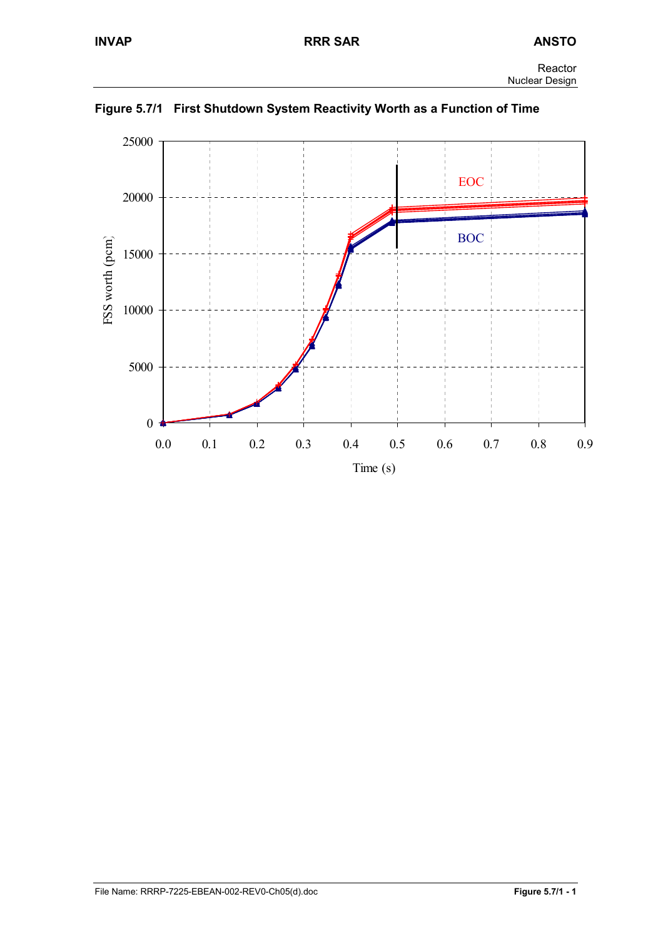

**Figure 5.7/1 First Shutdown System Reactivity Worth as a Function of Time**